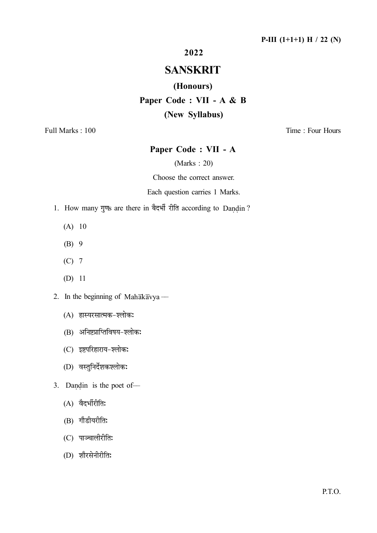# 2022

# SANSKRIT

#### (Honours)

# Paper Code : VII - A & B

## (New Syllabus)

Full Marks : 100 Time : Four Hours

# Paper Code : VII - A

# (Marks : 20)

Choose the correct answer.

#### Each question carries 1 Marks.

- 1. How many गुणs are there in बैदर्भी रीति according to Dandin? i.
	- (A) 10
	- (B) 9
	- (C) 7
	- (D) 11
- 2. In the beginning of Mahakavya
	- (A) हास्यरसात्मक-श्लोकः
	- (B) अनिष्टप्राप्तिविषय-श्लोकः
	- (C) इष्टपरिहाराय-श्लोक:
	- (D) वस्तुनिर्देशकश्लोकः
- 3. Dandin is the poet of––  $\ddot{ }$ 
	- (A) वैदर्भीरीतिः
	- (B) गौडीयरीति:
	- (C) पाञ्चालीरीतिः
	- (D)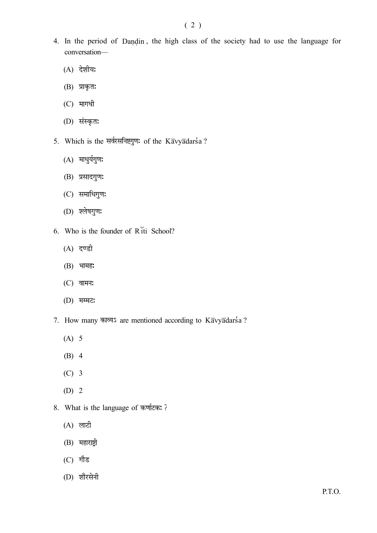- 4. In the period of Dandin , the high class of the society had to use the language for  $\ddot{ }$ conversation––
	- (A) देशीय:
	- (B) प्राकृत:
	- (C)
	- (D)
- 5. Which is the सर्वरसनिष्टगुण: of the Kavyadarsa?
	- (A) माधुर्यगुण:
	- (B) प्रसादगुण:
	- (C)
	- (D)
- 6. Who is the founder of  $R\bar{1}$ ti School?
	- (A)
	- (B) भामह:
	- (C) वामन:
	- (D)
- 7. How many काव्यऽ are mentioned according to Kavyadarsa?
	- (A) 5
	- (B) 4
	- (C) 3
	- (D) 2
- 8. What is the language of
	- (A)
	- (B) महाराष्ट्री
	- (C)
	- (D)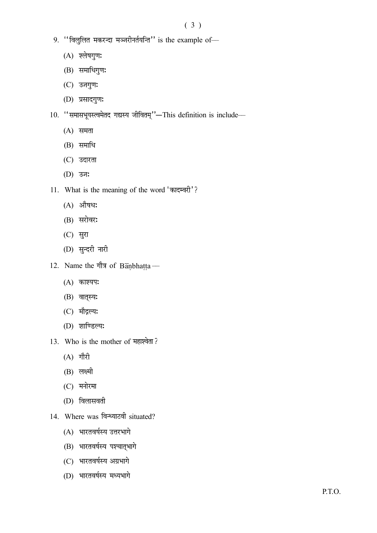- $9.$  "विलुलित मकरन्दा मञ्जरीनर्तयन्ति" is the example of-
	- (A) श्लेषगुण:
	- (B) समाधिगुण:
	- (C) उजगुणः
	- (D) प्रसादगुण:
- 10. "समासभूयस्त्वमेतद गद्यस्य जीवितम्"-This definition is include-
	- $(A)$  समता
	- (B) समाधि
	- (C)
	- (D)
- 11. What is the meaning of the word 'कादम्वरी'?
	- (A) औषध:
	- (B) सरोवर:
	- (C)
	- (D) सुन्दरी नारी
- 12. Name the गौत्र of Banbhatta  $\frac{1}{2}$ ––
	- (A) काश्यप:
	- (B) वात्स्य:
	- (C) मौद्गल्यः
	- (D)
- 13. Who is the mother of
	- $(A)$  गौरी
	- (B) लक्ष्मी
	- (C)
	- (D)
- 14. Where was विन्ध्याटवी situated?
	- (A) भारतवर्षस्य उत्तरभागे
	- (B) भारतवर्षस्य पश्चात्भागे
	- (C) भारतवर्षस्य अग्रभागे
	- (D)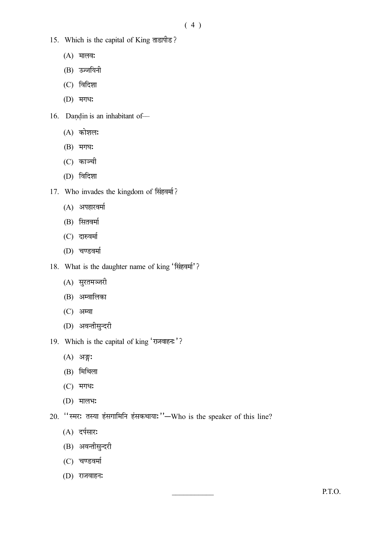- 15. Which is the capital of King
	- $(A)$  मालव:
	- (B)
	- (C)
	- (D)
- 16. Dandin is an inhabitant of- $\ddot{ }$ 
	- (A) कोशल:
	- (B) मगघ:
	- (C) काञ्ची
	- (D)
- 17. Who invades the kingdom of
	- (A)
	- (B) सितवर्मा
	- (C)
	- (D)
- 18. What is the daughter name of king 'सिंहवर्मा'?
	- (A)
	- (B)
	- (C) अम्वा
	- (D)
- 19. Which is the capital of king 'राजवाहन:'?
	- (A) अङ्ग:
	- (B)
	- (C)
	- (D) मालभ:
- 20. "स्मर: तस्या हंसगामिनि हंसकथाया: "-Who is the speaker of this line?
	- (A) दर्पसार:
	- (B) अवन्तीसुन्दरी
	- (C)
	- (D) राजवाहन: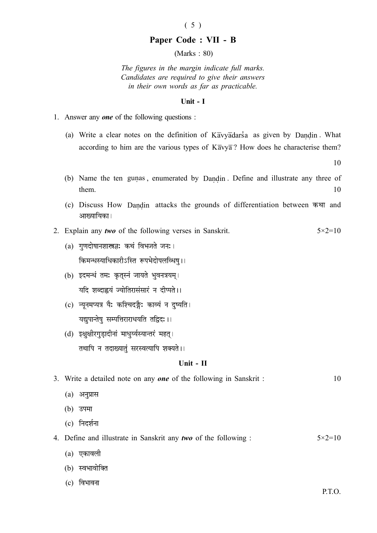#### ( 5 )

#### Paper Code : VII - B

(Marks : 80)

The figures in the margin indicate full marks. Candidates are required to give their answers in their own words as far as practicable.

#### Unit - I

- 1. Answer any one of the following questions :
	- (a) Write a clear notes on the definition of Kavyadarsa as given by Dandin. What  $\ddot{\phantom{1}}$ according to him are the various types of  $K\overline{a}$ vy $\overline{a}$ ? How does he characterise them?

10

- (b) Name the ten gunas Ì , enumerated by Dandin . Define and illustrate any three of  $\ddot{\phantom{0}}$  $t$  them.  $10$
- (c) Discuss How Dandin attacks the grounds of differentiation between and  $\ddot{\phantom{0}}$ आख्यायिका ।
- 2. Explain any *two* of the following verses in Sanskrit.  $5 \times 2 = 10$ 
	- (a) गणदोषानशास्त्रज्ञ: कथं विभजते जन:। किमन्धस्याधिकारीऽस्ति रूपभेदोपलव्धिष्।।
	- (b) इदमन्धं तमः कृतस्नं जायते भवनत्रयम्। यदि शब्दाह्वयं ज्योतिरासंसारं न दीप्पते ।।
	- (c) न्यूनमप्यत्र यैः कश्चिदङ्गैः काव्यं न दुष्यति। यद्यपान्तेषु सम्पत्तिराराधयति तद्विदः ।।
	- (d) इक्षुक्षीरगडादीनां माधुर्व्यस्यान्तरं महत्। तथापि न तदाख्यातुं सरस्वत्यापि शक्यते ।।

#### Unit - II

| 3. Write a detailed note on any <b>one</b> of the following in Sanskrit : | 10                |
|---------------------------------------------------------------------------|-------------------|
| अनुप्रास<br>(a)                                                           |                   |
| (b) उपमा                                                                  |                   |
| निदर्शना<br>(c)                                                           |                   |
| 4. Define and illustrate in Sanskrit any two of the following :           | $5 \times 2 = 10$ |
| एकावली<br>(a)                                                             |                   |
| (b) स्वभावोक्ति                                                           |                   |
| विभावना<br>(c)                                                            |                   |
|                                                                           | P.T.O.            |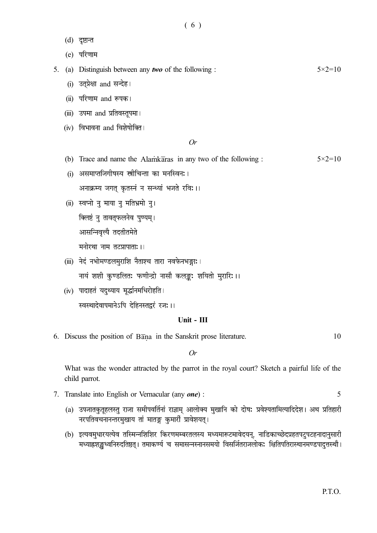(d) दूष्टान्त

(e)

5. (a) Distinguish between any *two* of the following :  $5 \times 2 = 10$ 

- (i) उत्प्रेक्षा and सन्देह।
- (ii) परिणाम and रूपक।
- (iii) उपमा and प्रतिवस्तूपमा।
- $(iv)$  विभावना and विशेषोक्ति ।

Or

- (b) Trace and name the Alamkaras in any two of the following :  $5 \times 2 = 10$
- (i) असमाप्तजिगीषस्य स्त्रीचिन्ता का मनस्विन:।

अनाक्रम्य जगत् कृतस्नं न सन्ध्यां भजते रवि: ।।

- (ii) स्वप्नो नु माया नु मतिभ्रमो नु। क्लिष्टं नु तावत्फलनेव पुण्यम् । आसन्निवत्यै तदतीतमेते मनोरथा नाम तटप्रापाताः ।।
- (iii) नेदं नभोमण्डलमुराशि नैताश्च तारा नवफेनभङ्गाः । नायं शशी कुण्डलितः फणीन्द्रो नासौ कलङ्कः शयितो मुरारिः ।।
- (iv) पादाहतं यदुथ्याय मूर्द्धानमधिरोहति। स्वस्थादेवापमानेऽपि देहिनस्तद्वरं रजः ।।

# Unit - III

6. Discuss the position of Bana in the Sanskrit prose literature. 10 İ,

Or

What was the wonder attracted by the parrot in the royal court? Sketch a pairful life of the child parrot.

- 7. Translate into English or Vernacular (any *one*) : 5
	- (a) उपजातकुतूहलस्तु राजा समीपवर्तिनां राज्ञाम् आलोक्य मुखानि को दोषः प्रवेश्यतामित्यादिदेश। अथ प्रतिहारी नरपतिवचनानन्तरमुखाय तां मातङ्ग कुमारीं प्रावेशयत्।
	- (b) इत्यवमुधारयत्येव तस्मिन्नशिशिर किरणमम्बरतलस्य मध्यमारूटमावेदयन्, नाडिकाच्छेदप्रहतपटुपटहनादानुसारी मध्याह्नशङ्खध्वनिरुदतिष्ठत् । तमाकर्ण्य च समासन्नस्नानसमयो विसर्जितराजलोकः क्षितिपतिरास्थानमण्डपादुत्तस्थौ ।